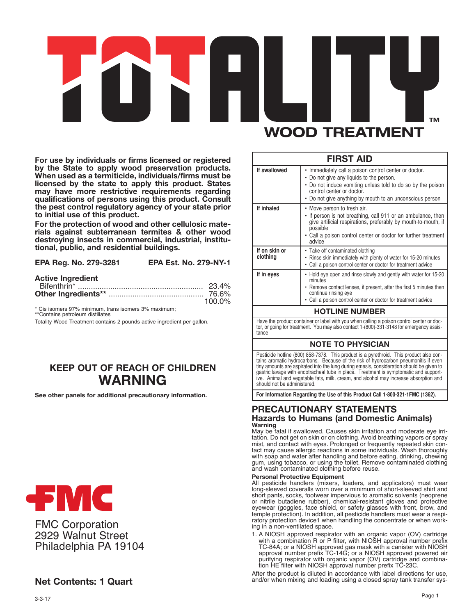# тм **WOOD TREATMENT**

**For use by individuals or firms licensed or registered by the State to apply wood preservation products. When used as <sup>a</sup> termiticide, individuals/firms must be licensed by the state to apply this product. States may have more restrictive requirements regarding qualifications of persons using this product. Consult the pest control regulatory agency of your state prior to initial use of this product.**

**For the protection of wood and other cellulosic materials against subterranean termites & other wood destroying insects in commercial, industrial, institutional, public, and residential buildings.**

| EPA Reg. No. 279-3281 | <b>EPA Est. No. 279-NY-1</b> |
|-----------------------|------------------------------|
|-----------------------|------------------------------|

#### **Active Ingredient**

|  | $100.0\%$ |
|--|-----------|

\* Cis isomers 97% minimum, trans isomers 3% maximum; \*\*Contains petroleum distillates

Totality Wood Treatment contains 2 pounds active ingredient per gallon.

# **KEEP OUT OF REACH OF CHILDREN WARNING**

**See other panels for additional precautionary information.**



FMC Corporation 2929 Walnut Street Philadelphia PA 19104

# **Net Contents: 1 Quart**

#### **FIRST AID If inhaled If swallowed** • Move person to fresh air. • If person is not breathing, call 911 or an ambulance, then give artificial respirations, preferably by mouth-to-mouth, if possible Call a poison control center or doctor for further treatment advice • Immediately call a poison control center or doctor. • Do not give any liquids to the person. • Do not induce vomiting unless told to do so by the poison control center or doctor. • Do not give anything by mouth to an unconscious person

| If on skin or<br>clothing | • Take off contaminated clothing<br>• Rinse skin immediately with plenty of water for 15-20 minutes<br>• Call a poison control center or doctor for treatment advice                                                                        |
|---------------------------|---------------------------------------------------------------------------------------------------------------------------------------------------------------------------------------------------------------------------------------------|
| If in eyes                | • Hold eye open and rinse slowly and gently with water for 15-20<br>minutes<br>• Remove contact lenses, if present, after the first 5 minutes then<br>continue rinsing eye<br>• Call a poison control center or doctor for treatment advice |

# **HOTLINE NUMBER**

Have the product container or label with you when calling a poison control center or doctor, or going for treatment. You may also contact 1-(800)-331-3148 for emergency assistance

# **NOTE TO PHYSICIAN**

Pesticide hotline (800) 858-7378. This product is a pyrethroid. This product also con-tains aromatic hydrocarbons. Because of the risk of hydrocarbon pneumonitis if even tiny amounts are aspirated into the lung during emesis, consideration should be given to gastric lavage with endotracheal tube in place. Treatment is symptomatic and supportive. Animal and vegetable fats, milk, cream, and alcohol may increase absorption and should not be administered.

**For Information Regarding the Use of this Product Call 1-800-321-1FMC (1362).**

## **PRECAUTIONARY STATEMENTS Hazards to Humans (and Domestic Animals) Warning**

May be fatal if swallowed. Causes skin irritation and moderate eye irritation. Do not get on skin or on clothing. Avoid breathing vapors or spray mist, and contact with eyes. Prolonged or frequently repeated skin contact may cause allergic reactions in some individuals. Wash thoroughly with soap and water after handling and before eating, drinking, chewing gum, using tobacco, or using the toilet. Remove contaminated clothing and wash contaminated clothing before reuse.

#### **Personal Protective Equipment**

All pesticide handlers (mixers, loaders, and applicators) must wear long-sleeved coveralls worn over a minimum of short-sleeved shirt and short pants, socks, footwear impervious to aromatic solvents (neoprene or nitrile butadiene rubber), chemical-resistant gloves and protective eyewear (goggles, face shield, or safety glasses with front, brow, and temple protection). In addition, all pesticide handlers must wear a respiratory protection device1 when handling the concentrate or when working in a non-ventilated space.

1. A NIOSH approved respirator with an organic vapor (OV) cartridge with a combination R or P filter, with NIOSH approval number prefix TC-84A; or a NIOSH approved gas mask with a canister with NIOSH approval number prefix TC-14G; or a NIOSH approved powered air purifying respirator with organic vapor (OV) cartridge and combination HE filter with NIOSH approval number prefix TC-23C.

After the product is diluted in accordance with label directions for use, and/or when mixing and loading using a closed spray tank transfer sys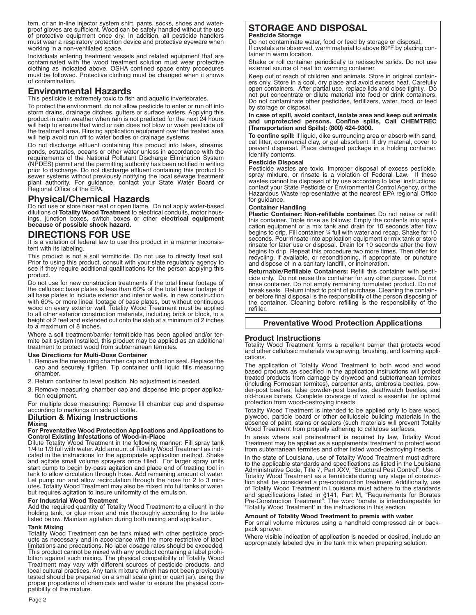tem, or an in-line injector system shirt, pants, socks, shoes and waterproof gloves are sufficient. Wood can be safely handled without the use of protective equipment once dry. In addition, all pesticide handlers must wear a respiratory protection device and protective eyeware when working in a non-ventilated space.

Individuals entering treatment vessels and related equipment that are contaminated with the wood treatment solution must wear protective clothing as indicated above. OSHA confined space entry procedures must be followed. Protective clothing must be changed when it shows of contamination.

# **Environmental Hazards**

This pesticide is extremely toxic to fish and aquatic invertebrates.

To protect the environment, do not allow pesticide to enter or run off into storm drains, drainage ditches, gutters or surface waters. Applying this product in calm weather when rain is not predicted for the next 24 hours will help to ensure that wind or rain does not blow or wash pesticide off the treatment area. Rinsing application equipment over the treated area will help avoid run off to water bodies or drainage systems.

Do not discharge effluent containing this product into lakes, streams, ponds, estuaries, oceans or other water unless in accordance with the requirements of the National Pollutant Discharge Elimination System (NPDES) permit and the permitting authority has been notified in writing prior to discharge. Do not discharge effluent containing this product to sewer systems without previously notifying the local sewage treatment plant authority. For guidance, contact your State Water Board or Regional Office of the EPA.

# **Physical/Chemical Hazards**

Do not use or store near heat or open flame. Do not apply water-based dilutions of **Totality Wood Treatment** to electrical conduits, motor housings, junction boxes, switch boxes or other **electrical equipment because of possible shock hazard.**

# **DIRECTIONS FOR USE**

It is a violation of federal law to use this product in a manner inconsistent with its labeling.

This product is not a soil termiticide. Do not use to directly treat soil. Prior to using this product, consult with your state regulatory agency to see if they require additional qualifications for the person applying this product.

Do not use for new construction treatments if the total linear footage of the cellulosic base plates is less than 60% of the total linear footage of all base plates to include exterior and interior walls. In new construction with 60% or more lineal footage of base plates, but without continuous wood on every exterior wall, Totality Wood Treatment must be applied to all other exterior construction materials, including brick or block, to a height of 2 feet and extended out onto the slab at a minimum of 2 inches to a maximum of 8 inches.

Where a soil treatment/barrier termiticide has been applied and/or termite bait system installed, this product may be applied as an additional treatment to protect wood from subterranean termites.

#### **Use Directions for Multi-Dose Container**

- 1. Remove the measuring chamber cap and induction seal. Replace the cap and securely tighten. Tip container until liquid fills measuring chamber.
- 2. Return container to level position. No adjustment is needed.
- 3. Remove measuring chamber cap and dispense into proper application equipment.

For multiple dose measuring: Remove fill chamber cap and dispense according to markings on side of bottle.

## **Dilution & Mixing Instructions**

#### **Mixing**

**For Preventative Wood Protection Applications and Applications to Control Existing Infestations of Wood-in-Place**

Dilute Totality Wood Treatment in the following manner: Fill spray tank 1/4 to 1/3 full with water. Add amount of Totality Wood Treatment as indicated in the instructions for the appropriate application method. Shake and agitate small volume sprayers once filled. For larger spray units start pump to begin by-pass agitation and place end of treating tool in tank to allow circulation through hose. Add remaining amount of water. Let pump run and allow recirculation through the hose for 2 to 3 minutes. Totality Wood Treatment may also be mixed into full tanks of water, but requires agitation to insure uniformity of the emulsion.

#### **For Industrial Wood Treatment**

Add the required quantity of Totality Wood Treatment to a diluent in the holding tank, or glue mixer and mix thoroughly according to the table listed below. Maintain agitation during both mixing and application.

#### **Tank Mixing**

Totality Wood Treatment can be tank mixed with other pesticide products as necessary and in accordance with the more restrictive of label limitations and precautions. No label dosage rates should be exceeded. This product cannot be mixed with any product containing a label prohibition against such mixing. The physical compatibility of Totality Wood Treatment may vary with different sources of pesticide products, and local cultural practices. Any tank mixture which has not been previously tested should be prepared on a small scale (pint or quart jar), using the proper proportions of chemicals and water to ensure the physical compatibility of the mixture.

# **STORAGE AND DISPOSAL Pesticide Storage**

Do not contaminate water, food or feed by storage or disposal. If crystals are observed, warm material to above 60°F by placing container in warm location.

Shake or roll container periodically to redissolve solids. Do not use external source of heat for warming container.

Keep out of reach of children and animals. Store in original containers only. Store in a cool, dry place and avoid excess heat. Carefully open containers. After partial use, replace lids and close tightly. Do not put concentrate or dilute material into food or drink containers. Do not contaminate other pesticides, fertilizers, water, food, or feed by storage or disposal.

#### **In case of spill, avoid contact, isolate area and keep out animals and unprotected persons. Confine spills, Call CHEMTREC (Transportation and Spills): (800) 424-9300.**

**To confine spill:** if liquid, dike surrounding area or absorb with sand, cat litter, commercial clay, or gel absorbent. If dry material, cover to prevent dispersal. Place damaged package in a holding container. Identify contents.

#### **Pesticide Disposal**

Pesticide wastes are toxic. Improper disposal of excess pesticide, spray mixture, or rinsate is a violation of Federal Law. If these wastes cannot be disposed of by use according to label instructions, contact your State Pesticide or Environmental Control Agency, or the Hazardous Waste representative at the nearest EPA regional Office for guidance.

## **Container Handling**

**Plastic Container: Non-refillable container.** Do not reuse or refill this container. Triple rinse as follows: Empty the contents into application equipment or a mix tank and drain for 10 seconds after flow begins to drip. Fill container ¼ full with water and recap. Shake for 10 seconds. Pour rinsate into application equipment or mix tank or store rinsate for later use or disposal. Drain for 10 seconds after the flow begins to drip. Repeat this procedure two more times. Then offer for recycling, if available, or reconditioning, if appropriate, or puncture and dispose of in a sanitary landfill, or incineration.

**Returnable/Refillable Containers:** Refill this container with pesticide only. Do not reuse this container for any other purpose. Do not rinse container. Do not empty remaining formulated product. Do not break seals. Return intact to point of purchase. Cleaning the container before final disposal is the responsibility of the person disposing of the container. Cleaning before refilling is the responsibility of the refiller.

## **Preventative Wood Protection Applications**

## **Product Instructions**

Totality Wood Treatment forms a repellent barrier that protects wood and other cellulosic materials via spraying, brushing, and foaming applications.

The application of Totality Wood Treatment to both wood and wood based products as specified in the application instructions will protect treated products from damage by drywood and subterranean termites (including Formosan termites), carpenter ants, ambrosia beetles, powder-post beetles, false powder-post beetles, deathwatch beetles, and old-house borers. Complete coverage of wood is essential for optimal protection from wood-destroying insects.

Totality Wood Treatment is intended to be applied only to bare wood, plywood, particle board or other celluloseic building materials in the absence of paint, stains or sealers (such materials will prevent Totality Wood Treatment from properly adhering to cellulose surfaces.

In areas where soil pretreatment is required by law, Totality Wood Treatment may be applied as a supplemental treatment to protect wood from subterranean termites and other listed wood-destroying insects.

In the state of Louisiana, use of Totality Wood Treatment must adhere to the applicable standards and specifications as listed in the Louisiana Administrative Code, Title 7, Part XXV, "Structural Pest Control". Use of Totality Wood Treatment as a termiticide during any stage of construction shall be considered a pre-construction treatment. Additionally, use of Totality Wood Treatment in Louisiana must adhere to the standards and specifications listed in §141, Part M, "Requirements for Borates Pre-Construction Treatment". The word 'borate' is interchangeable for 'Totality Wood Treatment' in the instructions in this section.

#### **Amount of Totality Wood Treatment to premix with water**

For small volume mixtures using a handheld compressed air or backpack sprayer.

Where visible indication of application is needed or desired, include an appropriately labeled dye in the tank mix when preparing solution.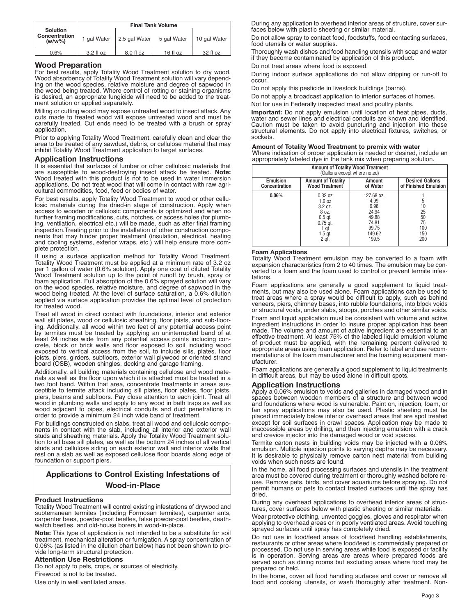|                                               | <b>Final Tank Volume</b> |               |             |              |
|-----------------------------------------------|--------------------------|---------------|-------------|--------------|
| <b>Solution</b><br>Concentration<br>$(w/w\%)$ | 1 gal Water              | 2.5 gal Water | 5 gal Water | 10 gal Water |
| 0.6%                                          | $3.2 f$ l oz             | 8.0 fl oz     | $16f$ loz   | 32 fl oz     |

#### **Wood Preparation**

For best results, apply Totality Wood Treatment solution to dry wood. Wood absorbency of Totality Wood Treatment solution will vary depending on the wood species, relative moisture and degree of sapwood in the wood being treated. Where control of rotting or staining organisms is desired, an appropriate fungicide will need to be added to the treatment solution or applied separately.

Milling or cutting wood may expose untreated wood to insect attack. Any cuts made to treated wood will expose untreated wood and must be carefully treated. Cut ends need to be treated with a brush or spray application.

Prior to applying Totality Wood Treatment, carefully clean and clear the area to be treated of any sawdust, debris, or cellulose material that may inhibit Totality Wood Treatment application to target surfaces.

#### **Application Instructions**

It is essential that surfaces of lumber or other cellulosic materials that are susceptible to wood-destroying insect attack be treated. **Note:** Wood treated with this product is not to be used in water immersion applications. Do not treat wood that will come in contact with raw agricultural commodities, food, feed or bodies of water.

For best results, apply Totality Wood Treatment to wood or other cellulosic materials during the dried-in stage of construction. Apply when access to wooden or cellulosic components is optimized and when no further framing modifications, cuts, notches, or access holes (for plumbing, ventilation, electrical etc.) will be made, such as after final framing inspection.Treating prior to the installation of other construction components that may hinder proper treatment (insulation, electrical, heating and cooling systems, exterior wraps, etc.) will help ensure more complete protection.

If using a surface application method for Totality Wood Treatment, Totality Wood Treatment must be applied at a minimum rate of 3.2 oz per 1 gallon of water (0.6% solution). Apply one coat of diluted Totality Wood Treatment solution up to the point of runoff by brush, spray or foam application. Full absorption of the 0.6% sprayed solution will vary on the wood species, relative moisture, and degree of sapwood in the wood being treated. At the level of surface saturation, a 0.6% dilution applied via surface application provides the optimal level of protection for treated wood.

Treat all wood in direct contact with foundations, interior and exterior wall sill plates, wood or cellulosic sheathing, floor joists, and sub-flooring. Additionally, all wood within two feet of any potential access point by termites must be treated by applying an uninterrupted band of at least 24 inches wide from any potential access points including concrete, block or brick walls and floor exposed to soil including wood exposed to vertical access from the soil, to include sills, plates, floor joists, piers, girders, subfloors, exterior wall plywood or oriented strand board (OSB), wooden shingles, decking and garage framing.

Additionally, all building materials containing cellulose and wood materials as well as the floor upon which it is attached must be treated in a two foot band. Within that area, concentrate treatments in areas susceptible to termite attack including sill plates, floor plates, floor joists, piers, beams and subfloors. Pay close attention to each joint. Treat all wood in plumbing walls and apply to any wood in bath traps as well as wood adjacent to pipes, electrical conduits and duct penetrations in order to provide a minimum 24 inch wide band of treatment.

For buildings constructed on slabs, treat all wood and cellulosic components in contact with the slab, including all interior and exterior wall studs and sheathing materials. Apply the Totality Wood Treatment solution to all base sill plates, as well as the bottom 24 inches of all vertical studs and cellulose siding on each exterior wall and interior walls that rest on a slab as well as exposed cellulose floor boards along edge of foundation or support piers.

# **Applications to Control Existing Infestations of Wood-in-Place**

#### **Product Instructions**

Totality Wood Treatment will control existing infestations of drywood and subterranean termites (including Formosan termites), carpenter ants, carpenter bees, powder-post beetles, false powder-post beetles, deathwatch beetles, and old-house borers in wood-in-place.

**Note:** This type of application is not intended to be a substitute for soil treatment, mechanical alteration or fumigation. A spray concentration of 0.06% (as listed in the dilution chart below) has not been shown to provide long-term structural protection.

#### **Attention Use Restrictions**

Do not apply to pets, crops, or sources of electricity. Firewood is not to be treated. Use only in well ventilated areas.

During any application to overhead interior areas of structure, cover surfaces below with plastic sheeting or similar material.

Do not allow spray to contact food, foodstuffs, food contacting surfaces, food utensils or water supplies.

Thoroughly wash dishes and food handling utensils with soap and water if they become contaminated by application of this product.

Do not treat areas where food is exposed.

During indoor surface applications do not allow dripping or run-off to occur.

Do not apply this pesticide in livestock buildings (barns).

Do not apply a broadcast application to interior surfaces of homes.

Not for use in Federally inspected meat and poultry plants.

**Important:** Do not apply emulsion until location of heat pipes, ducts, water and sewer lines and electrical conduits are known and identified. Caution must be taken to avoid puncturing and injection into these structural elements. Do not apply into electrical fixtures, switches, or sockets.

#### **Amount of Totality Wood Treatment to premix with water**

Where indication of proper application is needed or desired, include an appropriately labeled dye in the tank mix when preparing solution.

| <b>Amount of Totality Wood Treatment</b><br>(Gallons except where noted) |                                                                                                |                                                                                   |                                                |
|--------------------------------------------------------------------------|------------------------------------------------------------------------------------------------|-----------------------------------------------------------------------------------|------------------------------------------------|
| Emulsion<br>Concentration                                                | <b>Amount of Totality</b><br><b>Wood Treatment</b>                                             | Amount<br>of Water                                                                | <b>Desired Gallons</b><br>of Finished Emulsion |
| 0.06%                                                                    | 0.32 oz<br>1.6 oz<br>3.2 oz.<br>8 oz.<br>$0.5$ at.<br>$0.75$ at.<br>1 qt<br>$1.5$ at.<br>2 qt. | 127.68 oz.<br>4.99<br>9.98<br>24.94<br>49.88<br>74.81<br>99.75<br>149.62<br>199.5 | 25<br>50<br>75<br>100<br>150<br>200            |

#### **Foam Applications**

Totality Wood Treatment emulsion may be converted to a foam with expansion characteristics from 2 to 40 times. The emulsion may be converted to a foam and the foam used to control or prevent termite infestations.

Foam applications are generally a good supplement to liquid treatments, but may also be used alone. Foam applications can be used to treat areas where a spray would be difficult to apply, such as behind veneers, piers, chimney bases, into rubble foundations, into block voids or structural voids, under slabs, stoops, porches and other similar voids.

Foam and liquid application must be consistent with volume and active ingredient instructions in order to insure proper application has been made. The volume and amount of active ingredient are essential to an effective treatment. At least 75% of the labeled liquid emulsion volume of product must be applied, with the remaining percent delivered to appropriate areas using foam application. Refer to label and use recommendations of the foam manufacturer and the foaming equipment manufacturer.

Foam applications are generally a good supplement to liquid treatments in difficult areas, but may be used alone in difficult spots.

#### **Application Instructions**

Apply a 0.06% emulsion to voids and galleries in damaged wood and in spaces between wooden members of a structure and between wood and foundations where wood is vulnerable. Paint on, injection, foam, or fan spray applications may also be used. Plastic sheeting must be placed immediately below interior overhead areas that are spot treated except for soil surfaces in crawl spaces. Application may be made to inaccessible areas by drilling, and then injecting emulsion with a crack and crevice injector into the damaged wood or void spaces.

Termite carton nests in building voids may be injected with a 0.06% emulsion. Multiple injection points to varying depths may be necessary. It is desirable to physically remove carton nest material from building voids when such nests are found.

In the home, all food processing surfaces and utensils in the treatment area must be covered during treatment or thoroughly washed before reuse. Remove pets, birds, and cover aquariums before spraying. Do not permit humans or pets to contact treated surfaces until the spray has dried.

During any overhead applications to overhead interior areas of structures, cover surfaces below with plastic sheeting or similar materials.

Wear protective clothing, unvented goggles, gloves and respirator when applying to overhead areas or in poorly ventilated areas. Avoid touching sprayed surfaces until spray has completely dried.

Do not use in food/feed areas of food/feed handling establishments, restaurants or other areas where food/feed is commercially prepared or processed. Do not use in serving areas while food is exposed or facility is in operation. Serving areas are areas where prepared foods are served such as dining rooms but excluding areas where food may be prepared or held.

In the home, cover all food handling surfaces and cover or remove all food and cooking utensils, or wash thoroughly after treatment. Non-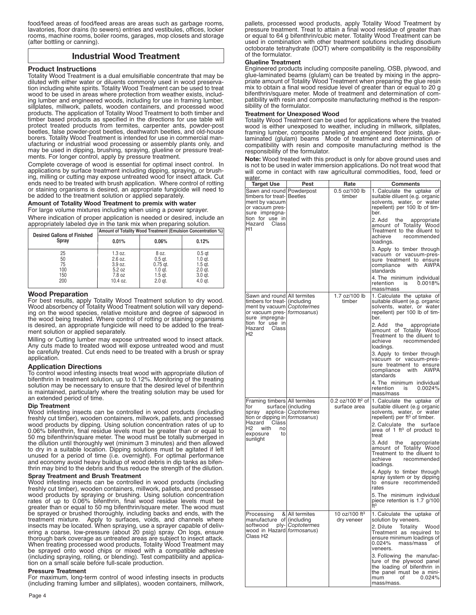food/feed areas of food/feed areas are areas such as garbage rooms, lavatories, floor drains (to sewers) entries and vestibules, offices, locker rooms, machine rooms, boiler rooms, garages, mop closets and storage (after bottling or canning).

# **Industrial Wood Treatment**

#### **Product Instructions**

Totality Wood Treatment is a dual emulsifiable concentrate that may be diluted with either water or diluents commonly used in wood preservation including white spirits. Totality Wood Treatment can be used to treat wood to be used in areas where protection from weather exists, including lumber and engineered woods, including for use in framing lumber, sillplates, millwork, pallets, wooden containers, and processed wood products. The application of Totality Wood Treatment to both timber and timber based products as specified in the directions for use table will protect treated products from termites, carpenter ants, powder-post beetles, false powder-post beetles, deathwatch beetles, and old-house borers. Totality Wood Treatment is intended for use in commercial manufacturing or industrial wood processing or assembly plants only, and may be used in dipping, brushing, spraying, glueline or pressure treatments. For longer control, apply by pressure treatment.

Complete coverage of wood is essential for optimal insect control. In applications by surface treatment including dipping, spraying, or brushing, milling or cutting may expose untreated wood for insect attack. Cut ends need to be treated with brush application. Where control of rotting or staining organisms is desired, an appropriate fungicide will need to be added to the treatment solution or applied separately.

#### **Amount of Totality Wood Treatment to premix with water** For large volume mixtures including when using a power sprayer.

Where indication of proper application is needed or desired, include an appropriately labeled dye in the tank mix when preparing solution.

| <b>Desired Gallons of Finished</b>  | Amount of Totality Wood Treatment (Emulsion Concentration %)  |                                                                       |                                                                                |  |
|-------------------------------------|---------------------------------------------------------------|-----------------------------------------------------------------------|--------------------------------------------------------------------------------|--|
| Spray                               | 0.01%                                                         | 0.06%                                                                 | 0.12%                                                                          |  |
| 25<br>50<br>75<br>100<br>150<br>200 | 1.3 oz.<br>2.6 oz.<br>3.9 oz.<br>5.2 oz<br>7.8 oz<br>10.4 oz. | 8 oz.<br>$0.5$ at.<br>$0.75$ at.<br>$1.0$ at.<br>$1.5$ at.<br>2.0 gt. | 0.5 <sub>qt</sub><br>$1.0$ at.<br>$1.5$ at.<br>2.0 gt.<br>$3.0$ at.<br>4.0 gt. |  |

#### **Wood Preparation**

For best results, apply Totality Wood Treatment solution to dry wood. Wood absorbency of Totality Wood Treatment solution will vary depending on the wood species, relative moisture and degree of sapwood in the wood being treated. Where control of rotting or staining organisms is desired, an appropriate fungicide will need to be added to the treatment solution or applied separately.

Milling or Cutting lumber may expose untreated wood to insect attack. Any cuts made to treated wood will expose untreated wood and must be carefully treated. Cut ends need to be treated with a brush or spray application.

#### **Application Directions**

To control wood infesting insects treat wood with appropriate dilution of bifenthrin in treatment solution, up to 0.12%. Monitoring of the treating solution may be necessary to ensure that the desired level of bifenthrin is maintained, particularly where the treating solution may be used for an extended period of time.

#### **Dip Treatment**

Wood infesting insects can be controlled in wood products (including freshly cut timber), wooden containers, millwork, pallets, and processed wood products by dipping. Using solution concentration rates of up to 0.06% bifenthrin, final residue levels must be greater than or equal to 50 mg bifenthrin/square meter. The wood must be totally submerged in the dilution until thoroughly wet (minimum 3 minutes) and then allowed to dry in a suitable location. Dipping solutions must be agitated if left unused for a period of time (i.e. overnight). For optimal performance and economy avoid heavy buildup of wood debris in dip tanks as bifenthrin may bind to the debris and thus reduce the strength of the dilution.

#### **Spray Treatment and Brush Treatment**

Wood infesting insects can be controlled in wood products (including freshly cut timber), wooden containers, millwork, pallets, and processed wood products by spraying or brushing. Using solution concentration rates of up to 0.06% bifenthrin, final wood residue levels must be greater than or equal to 50 mg bifenthrin/square meter. The wood must be sprayed or brushed thoroughly, including backs and ends, with the treatment mixture. Apply to surfaces, voids, and channels where insects may be located. When spraying, use a sprayer capable of delivering a coarse, low-pressure (about 20 psig) spray. On logs, ensure thorough bark coverage as untreated areas are subject to insect attack. When treating processed wood products, Totality Wood Treatment may be sprayed onto wood chips or mixed with a compatible adhesive (including spraying, rolling, or blending). Test compatibility and application on a small scale before full-scale production.

#### **Pressure Treatment**

For maximum, long-term control of wood infesting insects in products (including framing lumber and sillplates), wooden containers, millwork, pallets, processed wood products, apply Totality Wood Treatment by pressure treatment. Treat to attain a final wood residue of greater than or equal to 64 g bifenthrin/cubic meter. Totality Wood Treatment can be used in combination with other treatment solutions including disodium octoborate tetrahydrate (DOT) where compatibility is the responsibility of the formulator.

#### **Glueline Treatment**

Engineered products including composite paneling, OSB, plywood, and glue-laminated beams (glulam) can be treated by mixing in the appropriate amount of Totality Wood Treatment when preparing the glue resin mix to obtain a final wood residue level of greater than or equal to 20 g bifenthrin/square meter. Mode of treatment and determination of compatibility with resin and composite manufacturing method is the responsibility of the formulator.

# **Treatment for Unexposed Wood**

Totality Wood Treatment can be used for applications where the treated wood is either unexposed to weather, including in millwork, sillplates, framing lumber, composite paneling and engineered floor joists, gluelaminated (glulam) beams Mode of treatment and determination of compatibility with resin and composite manufacturing method is the responsibility of the formulator.

**Note:** Wood treated with this product is only for above ground uses and is not to be used in water immersion applications. Do not treat wood that will come in contact with raw agricultural commodities, food, feed or water.

| water.                                                                                                                                                       |                                            |                                                 |                                                                                                                                                                                                                                                        |
|--------------------------------------------------------------------------------------------------------------------------------------------------------------|--------------------------------------------|-------------------------------------------------|--------------------------------------------------------------------------------------------------------------------------------------------------------------------------------------------------------------------------------------------------------|
| <b>Target Use</b>                                                                                                                                            | Pest                                       | Rate                                            | <b>Comments</b>                                                                                                                                                                                                                                        |
| Sawn and round   Powderpost<br>timbers for treat- Beetles<br>ment by vacuum<br>or vacuum pres-<br>sure impregna-<br>tion for use in<br>Hazard<br>Class<br>H1 |                                            | 0.5 oz/100 lb<br>timber                         | 1. Calculate the uptake of<br>suitable diluent (e.g. organic<br>solvents, water, or water<br>repellent) per 100 lb of tim-<br>ber.<br>2. Add<br>the<br>appropriate<br>amount of Totality Wood<br>Treatment to the diluent to<br>achieve<br>recommended |
|                                                                                                                                                              |                                            |                                                 | loadings.<br>3. Apply to timber through<br>vacuum or vacuum-pres-<br>sure treatment to ensure<br>with AWPA<br>compliance<br>standards<br>4. The minimum individual                                                                                     |
|                                                                                                                                                              |                                            |                                                 | retention<br>0.0018%<br>is<br>mass/mass                                                                                                                                                                                                                |
| Sawn and round All termites<br>timbers for treat- (including<br>ment by vacuum Coptotermes<br>or vacuum pres- (formosanus)<br>sure impregna-                 |                                            | 1.7 oz/100 lb<br>timber                         | 1. Calculate the uptake of<br>suitable diluent (e.g. organic<br>solvents, water, or water<br>repellent) per 100 lb of tim-<br>ber.                                                                                                                     |
| tion for use in<br>Hazard<br>Class<br>Н2                                                                                                                     |                                            |                                                 | 2. Add<br>the<br>appropriate<br>amount of Totality Wood<br>Treatment to the diluent to<br>achieve<br>recommended<br>loadings.                                                                                                                          |
|                                                                                                                                                              |                                            |                                                 | 3. Apply to timber through<br>vacuum or vacuum-pres-<br>sure treatment to ensure<br>compliance<br>with<br>AWPAI<br>standards                                                                                                                           |
|                                                                                                                                                              |                                            |                                                 | 4. The minimum individual<br>retention<br>is<br>0.0024%<br>mass/mass                                                                                                                                                                                   |
| Framing timbers All termites<br>tor<br>spray<br>tion or dipping in formosanus)                                                                               | surface (including<br>applica- Coptotermes | 0.2 $oz/100$ ft <sup>2</sup> of<br>surface area | 1. Calculate the uptake of<br>suitable diluent (e.g organic<br>solvents, water, or water<br>repellent) per ft <sup>3</sup> of timber.                                                                                                                  |
| Class<br>Hazard<br>Н2<br>with<br>no<br>exposure<br>to                                                                                                        |                                            |                                                 | 2. Calculate<br>the<br>surface<br>area of 1 ft <sup>3</sup> of product to<br>treat                                                                                                                                                                     |
| sunlight                                                                                                                                                     |                                            |                                                 | 3. Add the appropriate<br>amount of Totality Wood<br>Treatment to the diluent to<br>achieve<br>recommended<br>loadings.                                                                                                                                |
|                                                                                                                                                              |                                            |                                                 | 4. Apply to timber through<br>spray system or by dipping<br>to ensure recommended<br>rates                                                                                                                                                             |
|                                                                                                                                                              |                                            |                                                 | 5. The minimum individual<br>piece retention is 1.7 g/100<br>ft <sup>3</sup>                                                                                                                                                                           |
| Processing<br>manufacture of (including                                                                                                                      | & All termites                             | 10 oz/100 ft <sup>3</sup><br>dry veneer         | 1. Calculate the uptake of<br>solution by veneers.                                                                                                                                                                                                     |
| softwood ply- Coptotermes<br>wood in Hazard formosanus)<br>Class H <sub>2</sub>                                                                              |                                            |                                                 | 2. Dilute Totality Wood <br>Treatment as required to<br>ensure minimum loadings of<br>$0.024\%$<br>mass/mass<br>of<br>veneers.                                                                                                                         |
|                                                                                                                                                              |                                            |                                                 | 3. Following the manufac-<br>ture of the plywood panel<br>the loading of bifenthrin in<br>the panel must be a mini-<br>mum<br>οf<br>0.024%<br>mass/mass.                                                                                               |